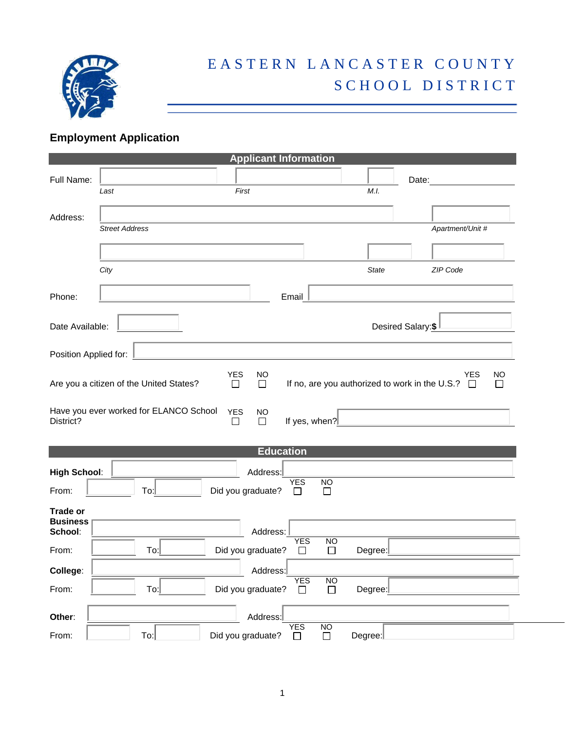

## EASTERN LANCASTER COUNTY SCHOOL DISTRICT

## **Employment Application**

| <b>Applicant Information</b>       |                                         |                                        |                      |                      |                   |                                                                                   |  |
|------------------------------------|-----------------------------------------|----------------------------------------|----------------------|----------------------|-------------------|-----------------------------------------------------------------------------------|--|
| Full Name:                         |                                         |                                        |                      |                      |                   | Date:                                                                             |  |
|                                    | Last                                    | First                                  |                      |                      | M.I.              |                                                                                   |  |
| Address:                           |                                         |                                        |                      |                      |                   |                                                                                   |  |
|                                    | <b>Street Address</b>                   |                                        |                      |                      |                   | Apartment/Unit #                                                                  |  |
|                                    |                                         |                                        |                      |                      |                   |                                                                                   |  |
|                                    | City                                    |                                        |                      |                      | <b>State</b>      | ZIP Code                                                                          |  |
| Phone:                             |                                         |                                        | Email                |                      |                   |                                                                                   |  |
| Date Available:                    |                                         |                                        |                      |                      | Desired Salary:\$ |                                                                                   |  |
| Position Applied for:              |                                         |                                        |                      |                      |                   |                                                                                   |  |
|                                    | Are you a citizen of the United States? | <b>YES</b><br><b>NO</b><br>$\Box$<br>□ |                      |                      |                   | <b>YES</b><br>NO<br>If no, are you authorized to work in the U.S.?<br>$\Box$<br>П |  |
| District?                          | Have you ever worked for ELANCO School  | <b>YES</b><br><b>NO</b><br>$\Box$<br>□ | If yes, when?        |                      |                   |                                                                                   |  |
|                                    |                                         |                                        | <b>Education</b>     |                      |                   |                                                                                   |  |
| <b>High School:</b>                |                                         | Address:                               |                      |                      |                   |                                                                                   |  |
| From:                              | To:                                     | Did you graduate?                      | <b>YES</b>           | NO<br>$\mathsf{L}$   |                   |                                                                                   |  |
| <b>Trade or</b><br><b>Business</b> |                                         |                                        |                      |                      |                   |                                                                                   |  |
| School:                            |                                         | Address:                               |                      |                      |                   |                                                                                   |  |
| From:                              | To:                                     | Did you graduate?                      | <b>YES</b><br>□      | <b>NO</b><br>$\Box$  | Degree:           |                                                                                   |  |
| College:                           |                                         | Address:                               |                      |                      |                   |                                                                                   |  |
| From:                              | $To:\n$                                 | Did you graduate?                      | <b>YES</b><br>$\Box$ | <b>NO</b><br>$\Box$  | Degree:           |                                                                                   |  |
| Other:                             |                                         | Address:                               |                      |                      |                   |                                                                                   |  |
| From:                              | $T_{\rm O}$                             | Did you graduate?                      | <b>YES</b><br>П      | $\overline{\square}$ | Degree:           |                                                                                   |  |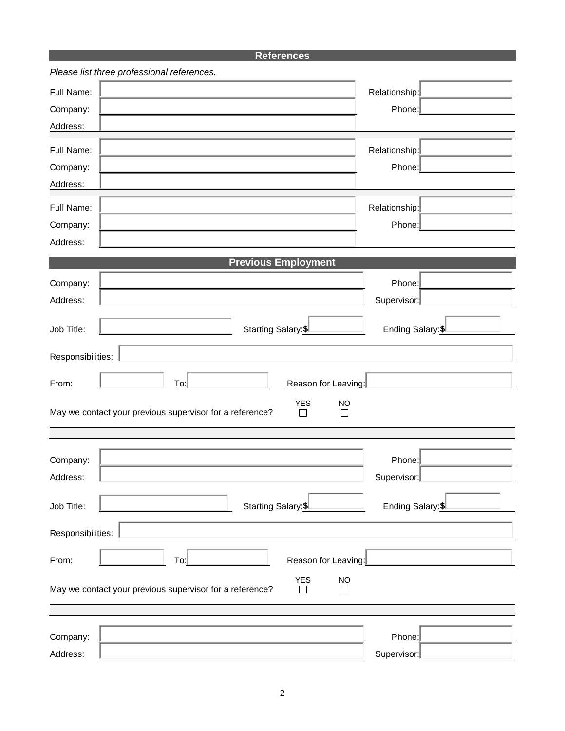## **References**

|                   | Please list three professional references.                                                    |                   |  |
|-------------------|-----------------------------------------------------------------------------------------------|-------------------|--|
| Full Name:        |                                                                                               | Relationship:     |  |
| Company:          |                                                                                               | Phone:            |  |
| Address:          |                                                                                               |                   |  |
| Full Name:        |                                                                                               | Relationship:     |  |
|                   |                                                                                               | Phone:            |  |
| Company:          |                                                                                               |                   |  |
| Address:          |                                                                                               |                   |  |
| Full Name:        |                                                                                               | Relationship:     |  |
| Company:          |                                                                                               | Phone:            |  |
| Address:          |                                                                                               |                   |  |
|                   | <b>Previous Employment</b>                                                                    |                   |  |
| Company:          |                                                                                               | Phone:            |  |
| Address:          |                                                                                               | Supervisor:       |  |
|                   |                                                                                               |                   |  |
| Job Title:        | Starting Salary: \$                                                                           | Ending Salary: \$ |  |
|                   |                                                                                               |                   |  |
| Responsibilities: |                                                                                               |                   |  |
| From:             | To:<br>Reason for Leaving:                                                                    |                   |  |
|                   | <b>YES</b><br><b>NO</b>                                                                       |                   |  |
|                   | May we contact your previous supervisor for a reference?<br>$\Box$<br>$\Box$                  |                   |  |
|                   |                                                                                               |                   |  |
|                   |                                                                                               |                   |  |
| Company:          |                                                                                               | Phone:            |  |
| Address:          |                                                                                               | Supervisor:       |  |
| Job Title:        | Starting Salary: \$                                                                           | Ending Salary: \$ |  |
|                   |                                                                                               |                   |  |
| Responsibilities: |                                                                                               |                   |  |
| From:             | Reason for Leaving:<br>To:                                                                    |                   |  |
|                   |                                                                                               |                   |  |
|                   | <b>YES</b><br><b>NO</b><br>May we contact your previous supervisor for a reference?<br>┓<br>П |                   |  |
|                   |                                                                                               |                   |  |
|                   |                                                                                               |                   |  |
| Company:          |                                                                                               | Phone:            |  |
| Address:          |                                                                                               | Supervisor:       |  |